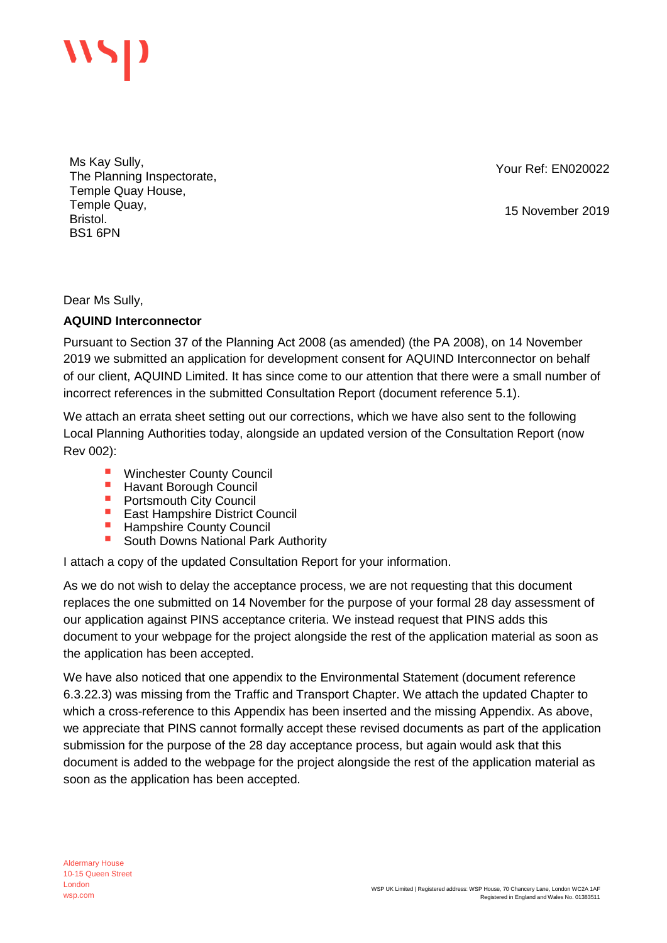

Ms Kay Sully, The Planning Inspectorate, Temple Quay House, Temple Quay, Bristol. BS1 6PN

Your Ref: EN020022

15 November 2019

Dear Ms Sully,

## **AQUIND Interconnector**

Pursuant to Section 37 of the Planning Act 2008 (as amended) (the PA 2008), on 14 November 2019 we submitted an application for development consent for AQUIND Interconnector on behalf of our client, AQUIND Limited. It has since come to our attention that there were a small number of incorrect references in the submitted Consultation Report (document reference 5.1).

We attach an errata sheet setting out our corrections, which we have also sent to the following Local Planning Authorities today, alongside an updated version of the Consultation Report (now Rev 002):

- Winchester County Council
- **E** Havant Borough Council<br>**E** Portsmouth City Council
- Portsmouth City Council
- East Hampshire District Council
- **E** Hampshire County Council
- South Downs National Park Authority

I attach a copy of the updated Consultation Report for your information.

As we do not wish to delay the acceptance process, we are not requesting that this document replaces the one submitted on 14 November for the purpose of your formal 28 day assessment of our application against PINS acceptance criteria. We instead request that PINS adds this document to your webpage for the project alongside the rest of the application material as soon as the application has been accepted.

We have also noticed that one appendix to the Environmental Statement (document reference 6.3.22.3) was missing from the Traffic and Transport Chapter. We attach the updated Chapter to which a cross-reference to this Appendix has been inserted and the missing Appendix. As above, we appreciate that PINS cannot formally accept these revised documents as part of the application submission for the purpose of the 28 day acceptance process, but again would ask that this document is added to the webpage for the project alongside the rest of the application material as soon as the application has been accepted.